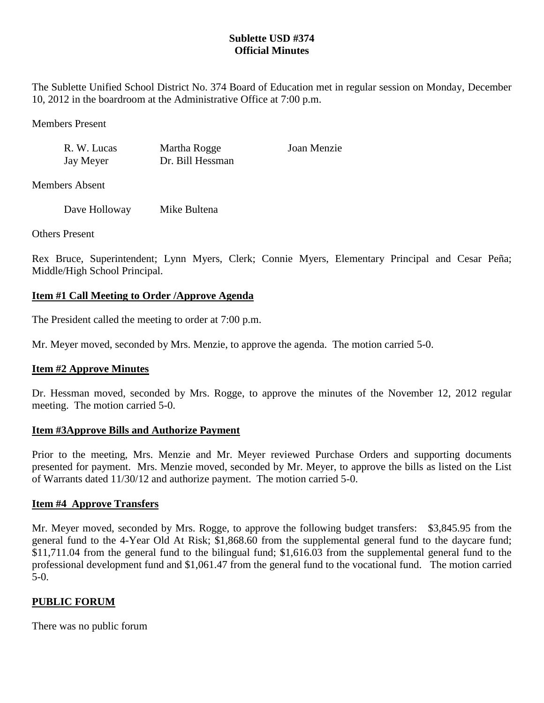# **Sublette USD #374 Official Minutes**

The Sublette Unified School District No. 374 Board of Education met in regular session on Monday, December 10, 2012 in the boardroom at the Administrative Office at 7:00 p.m.

Members Present

| R. W. Lucas | Martha Rogge     | Joan Menzie |
|-------------|------------------|-------------|
| Jay Meyer   | Dr. Bill Hessman |             |

Members Absent

Dave Holloway Mike Bultena

Others Present

Rex Bruce, Superintendent; Lynn Myers, Clerk; Connie Myers, Elementary Principal and Cesar Peña; Middle/High School Principal.

# **Item #1 Call Meeting to Order /Approve Agenda**

The President called the meeting to order at 7:00 p.m.

Mr. Meyer moved, seconded by Mrs. Menzie, to approve the agenda. The motion carried 5-0.

# **Item #2 Approve Minutes**

Dr. Hessman moved, seconded by Mrs. Rogge, to approve the minutes of the November 12, 2012 regular meeting. The motion carried 5-0.

#### **Item #3Approve Bills and Authorize Payment**

Prior to the meeting, Mrs. Menzie and Mr. Meyer reviewed Purchase Orders and supporting documents presented for payment. Mrs. Menzie moved, seconded by Mr. Meyer, to approve the bills as listed on the List of Warrants dated 11/30/12 and authorize payment. The motion carried 5-0.

# **Item #4 Approve Transfers**

Mr. Meyer moved, seconded by Mrs. Rogge, to approve the following budget transfers: \$3,845.95 from the general fund to the 4-Year Old At Risk; \$1,868.60 from the supplemental general fund to the daycare fund; \$11,711.04 from the general fund to the bilingual fund; \$1,616.03 from the supplemental general fund to the professional development fund and \$1,061.47 from the general fund to the vocational fund. The motion carried 5-0.

# **PUBLIC FORUM**

There was no public forum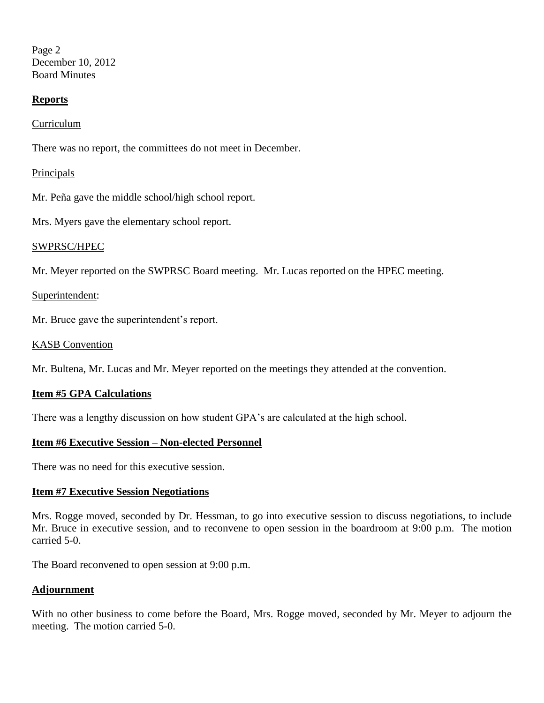Page 2 December 10, 2012 Board Minutes

### **Reports**

Curriculum

There was no report, the committees do not meet in December.

### **Principals**

Mr. Peña gave the middle school/high school report.

Mrs. Myers gave the elementary school report.

#### SWPRSC/HPEC

Mr. Meyer reported on the SWPRSC Board meeting. Mr. Lucas reported on the HPEC meeting.

#### Superintendent:

Mr. Bruce gave the superintendent's report.

#### KASB Convention

Mr. Bultena, Mr. Lucas and Mr. Meyer reported on the meetings they attended at the convention.

#### **Item #5 GPA Calculations**

There was a lengthy discussion on how student GPA's are calculated at the high school.

#### **Item #6 Executive Session – Non-elected Personnel**

There was no need for this executive session.

#### **Item #7 Executive Session Negotiations**

Mrs. Rogge moved, seconded by Dr. Hessman, to go into executive session to discuss negotiations, to include Mr. Bruce in executive session, and to reconvene to open session in the boardroom at 9:00 p.m. The motion carried 5-0.

The Board reconvened to open session at 9:00 p.m.

#### **Adjournment**

With no other business to come before the Board, Mrs. Rogge moved, seconded by Mr. Meyer to adjourn the meeting. The motion carried 5-0.